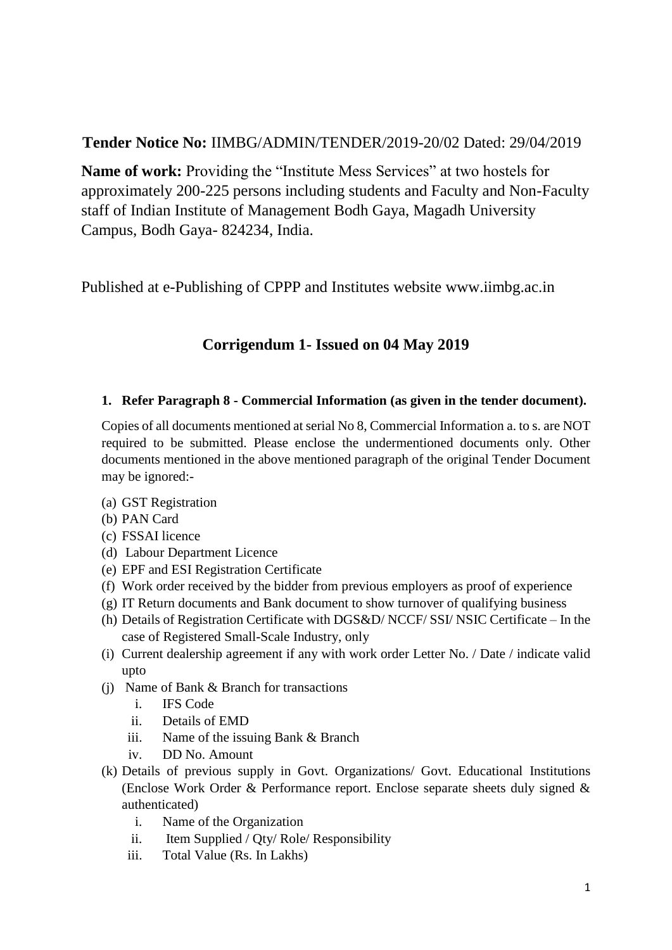## **Tender Notice No:** IIMBG/ADMIN/TENDER/2019-20/02 Dated: 29/04/2019

**Name of work:** Providing the "Institute Mess Services" at two hostels for approximately 200-225 persons including students and Faculty and Non-Faculty staff of Indian Institute of Management Bodh Gaya, Magadh University Campus, Bodh Gaya- 824234, India.

Published at e-Publishing of CPPP and Institutes website www.iimbg.ac.in

# **Corrigendum 1- Issued on 04 May 2019**

### **1. Refer Paragraph 8 - Commercial Information (as given in the tender document).**

Copies of all documents mentioned at serial No 8, Commercial Information a. to s. are NOT required to be submitted. Please enclose the undermentioned documents only. Other documents mentioned in the above mentioned paragraph of the original Tender Document may be ignored:-

- (a) GST Registration
- (b) PAN Card
- (c) FSSAI licence
- (d) Labour Department Licence
- (e) EPF and ESI Registration Certificate
- (f) Work order received by the bidder from previous employers as proof of experience
- (g) IT Return documents and Bank document to show turnover of qualifying business
- (h) Details of Registration Certificate with DGS&D/ NCCF/ SSI/ NSIC Certificate In the case of Registered Small-Scale Industry, only
- (i) Current dealership agreement if any with work order Letter No. / Date / indicate valid upto
- (j) Name of Bank & Branch for transactions
	- i. IFS Code
	- ii. Details of EMD
	- iii. Name of the issuing Bank & Branch
	- iv. DD No. Amount
- (k) Details of previous supply in Govt. Organizations/ Govt. Educational Institutions (Enclose Work Order & Performance report. Enclose separate sheets duly signed & authenticated)
	- i. Name of the Organization
	- ii. Item Supplied / Qty/ Role/ Responsibility
	- iii. Total Value (Rs. In Lakhs)